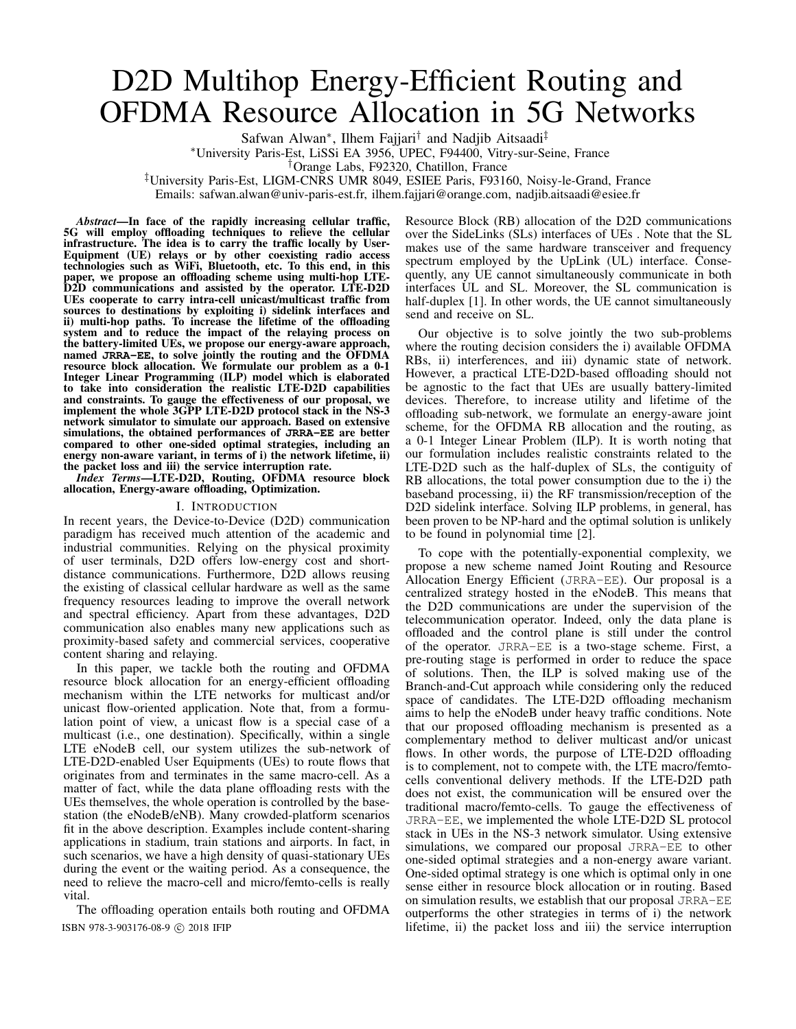# D2D Multihop Energy-Efficient Routing and OFDMA Resource Allocation in 5G Networks

Safwan Alwan<sup>∗</sup> , Ilhem Fajjari† and Nadjib Aitsaadi‡

<sup>∗</sup>University Paris-Est, LiSSi EA 3956, UPEC, F94400, Vitry-sur-Seine, France

†Orange Labs, F92320, Chatillon, France

‡University Paris-Est, LIGM-CNRS UMR 8049, ESIEE Paris, F93160, Noisy-le-Grand, France Emails: safwan.alwan@univ-paris-est.fr, ilhem.fajjari@orange.com, nadjib.aitsaadi@esiee.fr

*Abstract*—In face of the rapidly increasing cellular traffic, 5G will employ offloading techniques to relieve the cellular infrastructure. The idea is to carry the traffic locally by User-Equipment (UE) relays or by other coexisting radio access technologies such as WiFi, Bluetooth, etc. To this end, in this paper, we propose an offloading scheme using multi-hop LTE-D2D communications and assisted by the operator. LTE-D2D UEs cooperate to carry intra-cell unicast/multicast traffic from sources to destinations by exploiting i) sidelink interfaces and ii) multi-hop paths. To increase the lifetime of the offloading system and to reduce the impact of the relaying process on the battery-limited UEs, we propose our energy-aware approach, named **JRRA-EE**, to solve jointly the routing and the OFDMA resource block allocation. We formulate our problem as a 0-1 Integer Linear Programming (ILP) model which is elaborated to take into consideration the realistic LTE-D2D capabilities and constraints. To gauge the effectiveness of our proposal, we implement the whole 3GPP LTE-D2D protocol stack in the NS-3 network simulator to simulate our approach. Based on extensive simulations, the obtained performances of **JRRA-EE** are better compared to other one-sided optimal strategies, including an energy non-aware variant, in terms of i) the network lifetime, ii) the packet loss and iii) the service interruption rate.

*Index Terms*—LTE-D2D, Routing, OFDMA resource block allocation, Energy-aware offloading, Optimization.

# I. INTRODUCTION

In recent years, the Device-to-Device (D2D) communication paradigm has received much attention of the academic and industrial communities. Relying on the physical proximity of user terminals, D2D offers low-energy cost and shortdistance communications. Furthermore, D2D allows reusing the existing of classical cellular hardware as well as the same frequency resources leading to improve the overall network and spectral efficiency. Apart from these advantages, D2D communication also enables many new applications such as proximity-based safety and commercial services, cooperative content sharing and relaying.

In this paper, we tackle both the routing and OFDMA resource block allocation for an energy-efficient offloading mechanism within the LTE networks for multicast and/or unicast flow-oriented application. Note that, from a formulation point of view, a unicast flow is a special case of a multicast (i.e., one destination). Specifically, within a single LTE eNodeB cell, our system utilizes the sub-network of LTE-D2D-enabled User Equipments (UEs) to route flows that originates from and terminates in the same macro-cell. As a matter of fact, while the data plane offloading rests with the UEs themselves, the whole operation is controlled by the basestation (the eNodeB/eNB). Many crowded-platform scenarios fit in the above description. Examples include content-sharing applications in stadium, train stations and airports. In fact, in such scenarios, we have a high density of quasi-stationary UEs during the event or the waiting period. As a consequence, the need to relieve the macro-cell and micro/femto-cells is really vital.

The offloading operation entails both routing and OFDMA

Resource Block (RB) allocation of the D2D communications over the SideLinks (SLs) interfaces of UEs . Note that the SL makes use of the same hardware transceiver and frequency spectrum employed by the UpLink (UL) interface. Consequently, any UE cannot simultaneously communicate in both interfaces UL and SL. Moreover, the SL communication is half-duplex [1]. In other words, the UE cannot simultaneously send and receive on SL.

Our objective is to solve jointly the two sub-problems where the routing decision considers the i) available OFDMA RBs, ii) interferences, and iii) dynamic state of network. However, a practical LTE-D2D-based offloading should not be agnostic to the fact that UEs are usually battery-limited devices. Therefore, to increase utility and lifetime of the offloading sub-network, we formulate an energy-aware joint scheme, for the OFDMA RB allocation and the routing, as a 0-1 Integer Linear Problem (ILP). It is worth noting that our formulation includes realistic constraints related to the LTE-D2D such as the half-duplex of SLs, the contiguity of RB allocations, the total power consumption due to the i) the baseband processing, ii) the RF transmission/reception of the D2D sidelink interface. Solving ILP problems, in general, has been proven to be NP-hard and the optimal solution is unlikely to be found in polynomial time [2].

To cope with the potentially-exponential complexity, we propose a new scheme named Joint Routing and Resource Allocation Energy Efficient (JRRA-EE). Our proposal is a centralized strategy hosted in the eNodeB. This means that the D2D communications are under the supervision of the telecommunication operator. Indeed, only the data plane is offloaded and the control plane is still under the control of the operator. JRRA-EE is a two-stage scheme. First, a pre-routing stage is performed in order to reduce the space of solutions. Then, the ILP is solved making use of the Branch-and-Cut approach while considering only the reduced space of candidates. The LTE-D2D offloading mechanism aims to help the eNodeB under heavy traffic conditions. Note that our proposed offloading mechanism is presented as a complementary method to deliver multicast and/or unicast flows. In other words, the purpose of LTE-D2D offloading is to complement, not to compete with, the LTE macro/femtocells conventional delivery methods. If the LTE-D2D path does not exist, the communication will be ensured over the traditional macro/femto-cells. To gauge the effectiveness of JRRA-EE, we implemented the whole LTE-D2D SL protocol stack in UEs in the NS-3 network simulator. Using extensive simulations, we compared our proposal JRRA-EE to other one-sided optimal strategies and a non-energy aware variant. One-sided optimal strategy is one which is optimal only in one sense either in resource block allocation or in routing. Based on simulation results, we establish that our proposal JRRA-EE outperforms the other strategies in terms of i) the network ISBN 978-3-903176-08-9 c 2018 IFIP lifetime, ii) the packet loss and iii) the service interruption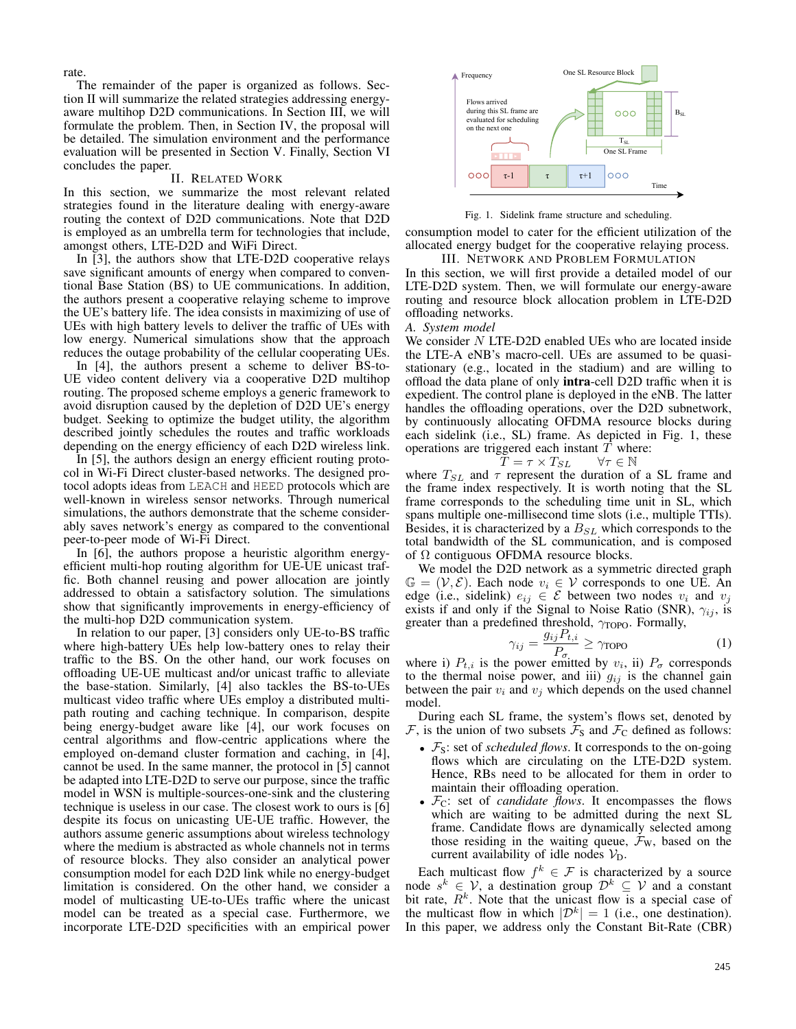rate.

The remainder of the paper is organized as follows. Section II will summarize the related strategies addressing energyaware multihop D2D communications. In Section III, we will formulate the problem. Then, in Section IV, the proposal will be detailed. The simulation environment and the performance evaluation will be presented in Section V. Finally, Section VI concludes the paper.

# II. RELATED WORK

In this section, we summarize the most relevant related strategies found in the literature dealing with energy-aware routing the context of D2D communications. Note that D2D is employed as an umbrella term for technologies that include, amongst others, LTE-D2D and WiFi Direct.

In [3], the authors show that LTE-D2D cooperative relays save significant amounts of energy when compared to conventional Base Station (BS) to UE communications. In addition, the authors present a cooperative relaying scheme to improve the UE's battery life. The idea consists in maximizing of use of UEs with high battery levels to deliver the traffic of UEs with low energy. Numerical simulations show that the approach reduces the outage probability of the cellular cooperating UEs.

In [4], the authors present a scheme to deliver BS-to-UE video content delivery via a cooperative D2D multihop routing. The proposed scheme employs a generic framework to avoid disruption caused by the depletion of D2D UE's energy budget. Seeking to optimize the budget utility, the algorithm described jointly schedules the routes and traffic workloads depending on the energy efficiency of each D2D wireless link.

In [5], the authors design an energy efficient routing protocol in Wi-Fi Direct cluster-based networks. The designed protocol adopts ideas from LEACH and HEED protocols which are well-known in wireless sensor networks. Through numerical simulations, the authors demonstrate that the scheme considerably saves network's energy as compared to the conventional peer-to-peer mode of Wi-Fi Direct.

In [6], the authors propose a heuristic algorithm energyefficient multi-hop routing algorithm for UE-UE unicast traffic. Both channel reusing and power allocation are jointly addressed to obtain a satisfactory solution. The simulations show that significantly improvements in energy-efficiency of the multi-hop D2D communication system.

In relation to our paper, [3] considers only UE-to-BS traffic where high-battery UEs help low-battery ones to relay their traffic to the BS. On the other hand, our work focuses on offloading UE-UE multicast and/or unicast traffic to alleviate the base-station. Similarly, [4] also tackles the BS-to-UEs multicast video traffic where UEs employ a distributed multipath routing and caching technique. In comparison, despite being energy-budget aware like [4], our work focuses on central algorithms and flow-centric applications where the employed on-demand cluster formation and caching, in [4], cannot be used. In the same manner, the protocol in [5] cannot be adapted into LTE-D2D to serve our purpose, since the traffic model in WSN is multiple-sources-one-sink and the clustering technique is useless in our case. The closest work to ours is [6] despite its focus on unicasting UE-UE traffic. However, the authors assume generic assumptions about wireless technology where the medium is abstracted as whole channels not in terms of resource blocks. They also consider an analytical power consumption model for each D2D link while no energy-budget limitation is considered. On the other hand, we consider a model of multicasting UE-to-UEs traffic where the unicast model can be treated as a special case. Furthermore, we incorporate LTE-D2D specificities with an empirical power



Fig. 1. Sidelink frame structure and scheduling.

consumption model to cater for the efficient utilization of the allocated energy budget for the cooperative relaying process.

III. NETWORK AND PROBLEM FORMULATION In this section, we will first provide a detailed model of our LTE-D2D system. Then, we will formulate our energy-aware routing and resource block allocation problem in LTE-D2D offloading networks.

## *A. System model*

We consider N LTE-D2D enabled UEs who are located inside the LTE-A eNB's macro-cell. UEs are assumed to be quasistationary (e.g., located in the stadium) and are willing to offload the data plane of only intra-cell D2D traffic when it is expedient. The control plane is deployed in the eNB. The latter handles the offloading operations, over the D2D subnetwork, by continuously allocating OFDMA resource blocks during each sidelink (i.e., SL) frame. As depicted in Fig. 1, these operations are triggered each instant  $T$  where:

$$
\overset{\mathcal{C}\mathcal{S}}{T} = \tau \times T_{SL} \qquad \forall \tau \in \mathbb{N}
$$

where  $T_{SL}$  and  $\tau$  represent the duration of a SL frame and the frame index respectively. It is worth noting that the SL frame corresponds to the scheduling time unit in SL, which spans multiple one-millisecond time slots (i.e., multiple TTIs). Besides, it is characterized by a  $B_{SL}$  which corresponds to the total bandwidth of the SL communication, and is composed of  $\Omega$  contiguous OFDMA resource blocks.

We model the D2D network as a symmetric directed graph  $\mathbb{G} = (\mathcal{V}, \mathcal{E})$ . Each node  $v_i \in \mathcal{V}$  corresponds to one UE. An edge (i.e., sidelink)  $e_{ij} \in \mathcal{E}$  between two nodes  $v_i$  and  $v_j$ exists if and only if the Signal to Noise Ratio (SNR),  $\gamma_{ij}$ , is greater than a predefined threshold,  $\gamma_{\text{TOPO}}$ . Formally,

$$
\gamma_{ij} = \frac{g_{ij} P_{t,i}}{P_{\sigma}} \ge \gamma_{\text{TOPO}} \tag{1}
$$

where i)  $P_{t,i}$  is the power emitted by  $v_i$ , ii)  $P_{\sigma}$  corresponds to the thermal noise power, and iii)  $g_{ij}$  is the channel gain between the pair  $v_i$  and  $v_j$  which depends on the used channel model.

During each SL frame, the system's flows set, denoted by  $\mathcal{F}$ , is the union of two subsets  $\mathcal{F}_S$  and  $\mathcal{F}_C$  defined as follows:

- $\mathcal{F}_S$ : set of *scheduled flows*. It corresponds to the on-going flows which are circulating on the LTE-D2D system. Hence, RBs need to be allocated for them in order to maintain their offloading operation.
- $\mathcal{F}_C$ : set of *candidate flows*. It encompasses the flows which are waiting to be admitted during the next SL frame. Candidate flows are dynamically selected among those residing in the waiting queue,  $\mathcal{F}_W$ , based on the current availability of idle nodes  $V_{D}$ .

Each multicast flow  $f^k \in \mathcal{F}$  is characterized by a source node  $s^k \in V$ , a destination group  $\mathcal{D}^k \subseteq V$  and a constant bit rate,  $R<sup>k</sup>$ . Note that the unicast flow is a special case of the multicast flow in which  $|\mathcal{D}^k| = 1$  (i.e., one destination). In this paper, we address only the Constant Bit-Rate (CBR)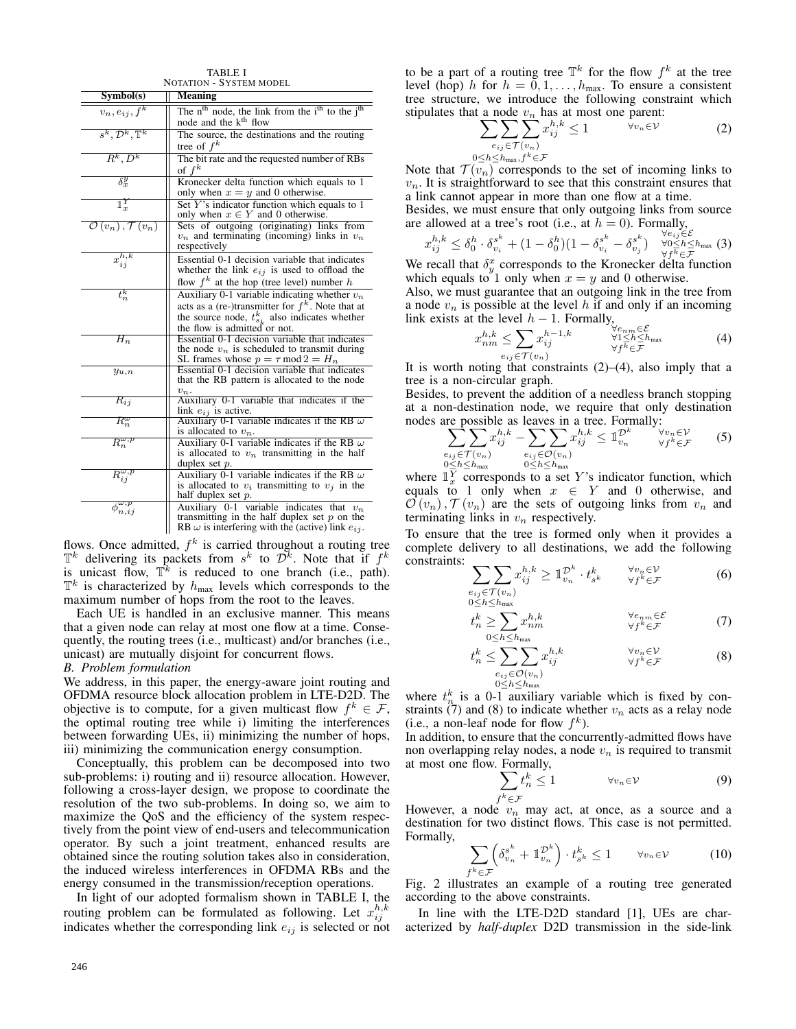| <b>NOTATION - SYSTEM MODEL</b>                             |                                                                                                                                                                                               |  |  |  |
|------------------------------------------------------------|-----------------------------------------------------------------------------------------------------------------------------------------------------------------------------------------------|--|--|--|
| Symbol(s)                                                  | <b>Meaning</b>                                                                                                                                                                                |  |  |  |
| $v_n, e_{ij}, f^k$                                         | The $nth$ node, the link from the $ith$ to the $jth$<br>node and the k <sup>th</sup> flow                                                                                                     |  |  |  |
| $s^k, \mathcal{D}^k, \mathbb{T}^k$                         | The source, the destinations and the routing<br>tree of $f^k$                                                                                                                                 |  |  |  |
| $R^k, D^k$                                                 | The bit rate and the requested number of RBs<br>of $f^k$                                                                                                                                      |  |  |  |
| $\delta_{r}^y$                                             | Kronecker delta function which equals to 1<br>only when $x = y$ and 0 otherwise.                                                                                                              |  |  |  |
| $\mathbb{1}_r^Y$                                           | Set Y's indicator function which equals to 1<br>only when $x \in Y$ and 0 otherwise.                                                                                                          |  |  |  |
| $\mathcal{O}\left(v_n\right), \mathcal{T}\left(v_n\right)$ | Sets of outgoing (originating) links from<br>$v_n$ and terminating (incoming) links in $v_n$<br>respectively                                                                                  |  |  |  |
| $x_{ij}^{h,k}$                                             | Essential 0-1 decision variable that indicates<br>whether the link $e_{ij}$ is used to offload the<br>flow $f^k$ at the hop (tree level) number h                                             |  |  |  |
| $t_n^k$                                                    | Auxiliary 0-1 variable indicating whether $v_n$<br>acts as a (re-)transmitter for $f^k$ . Note that at<br>the source node, $t_{s_k}^k$ also indicates whether<br>the flow is admitted or not. |  |  |  |
| $H_n$                                                      | Essential 0-1 decision variable that indicates<br>the node $v_n$ is scheduled to transmit during<br>SL frames whose $p = \tau \mod 2 = H_n$                                                   |  |  |  |
| $y_{u,n}$                                                  | Essential 0-1 decision variable that indicates<br>that the RB pattern is allocated to the node<br>$v_n$ .                                                                                     |  |  |  |
| $R_{ij}$                                                   | Auxiliary 0-1 variable that indicates if the<br>link $e_{ij}$ is active.                                                                                                                      |  |  |  |
| $R_n^{\omega}$                                             | Auxiliary 0-1 variable indicates if the RB $\omega$<br>is allocated to $v_n$ .                                                                                                                |  |  |  |
| $R_n^{\omega,p}$                                           | Auxiliary 0-1 variable indicates if the RB $\omega$<br>is allocated to $v_n$ transmitting in the half<br>duplex set $p$ .                                                                     |  |  |  |
| $\overline{R^{\omega,p}_{i\hspace{1pt}i}}$                 | Auxiliary 0-1 variable indicates if the RB $\omega$<br>is allocated to $v_i$ transmitting to $v_j$ in the<br>half duplex set $p$ .                                                            |  |  |  |
| $\overline{\phi}_{n,ij}^{\omega,p}$                        | Auxiliary 0-1 variable indicates that $v_n$<br>transmitting in the half duplex set $p$ on the<br>RB $\omega$ is interfering with the (active) link $e_{ij}$ .                                 |  |  |  |

TABLE I

flows. Once admitted,  $f^k$  is carried throughout a routing tree  $\mathbb{T}^k$  delivering its packets from  $s^k$  to  $\mathcal{D}^k$ . Note that if  $f^k$ is unicast flow,  $\mathbb{T}^k$  is reduced to one branch (i.e., path).  $\mathbb{T}^k$  is characterized by  $h_{\text{max}}$  levels which corresponds to the maximum number of hops from the root to the leaves.

Each UE is handled in an exclusive manner. This means that a given node can relay at most one flow at a time. Consequently, the routing trees (i.e., multicast) and/or branches (i.e., unicast) are mutually disjoint for concurrent flows.

## *B. Problem formulation*

We address, in this paper, the energy-aware joint routing and OFDMA resource block allocation problem in LTE-D2D. The objective is to compute, for a given multicast flow  $f^k \in \mathcal{F}$ , the optimal routing tree while i) limiting the interferences between forwarding UEs, ii) minimizing the number of hops, iii) minimizing the communication energy consumption.

Conceptually, this problem can be decomposed into two sub-problems: i) routing and ii) resource allocation. However, following a cross-layer design, we propose to coordinate the resolution of the two sub-problems. In doing so, we aim to maximize the QoS and the efficiency of the system respectively from the point view of end-users and telecommunication operator. By such a joint treatment, enhanced results are obtained since the routing solution takes also in consideration, the induced wireless interferences in OFDMA RBs and the energy consumed in the transmission/reception operations.

In light of our adopted formalism shown in TABLE I, the routing problem can be formulated as following. Let  $x_{ij}^{h,k}$ indicates whether the corresponding link  $e_{ij}$  is selected or not

to be a part of a routing tree  $\mathbb{T}^k$  for the flow  $f^k$  at the tree level (hop) h for  $h = 0, 1, \ldots, h_{\text{max}}$ . To ensure a consistent tree structure, we introduce the following constraint which stipulates that a node  $v_n$  has at most one parent:

$$
\sum_{e_{ij}\in\mathcal{T}(v_n)}\sum_{j}^{h,k}\leq 1\qquad\qquad\forall v_n\in\mathcal{V}\tag{2}
$$

 $0 \leq h \leq h$ <sub>max</sub>,  $f^k$ ∈ $\mathcal{F}$ 

Note that  $\mathcal{T}(\overline{v_n})$  corresponds to the set of incoming links to  $v_n$ . It is straightforward to see that this constraint ensures that a link cannot appear in more than one flow at a time.

Besides, we must ensure that only outgoing links from source are allowed at a tree's root (i.e., at  $h = 0$ ). Formally,

$$
x_{ij}^{h,k} \leq \delta_0^h \cdot \delta_{v_i}^{s^k} + (1 - \delta_0^h)(1 - \delta_{v_i}^{s^k} - \delta_{v_j}^{s^k}) \quad \forall e_{ij} \in \mathcal{E}_{\text{max}}(3)
$$

We recall that  $\delta_y^x$  corresponds to the Kronecker delta function which equals to 1 only when  $x = y$  and 0 otherwise.

Also, we must guarantee that an outgoing link in the tree from a node  $v_n$  is possible at the level h if and only if an incoming link exists at the level  $h - 1$ . Formally,

$$
x_{nm}^{h,k} \le \sum_{e_{ij} \in \mathcal{T}(v_n)} x_{ij}^{h-1,k} \qquad \begin{array}{l}\n\forall e_{nm} \in \mathcal{E} \\
\forall 1 \le h \le h_{\text{max}} \\
\forall f^k \in \mathcal{F}\n\end{array} \tag{4}
$$

It is worth noting that constraints  $(2)$ – $(4)$ , also imply that a tree is a non-circular graph.

Besides, to prevent the addition of a needless branch stopping at a non-destination node, we require that only destination nodes are possible as leaves in a tree. Formally:

$$
\sum_{\substack{e_{ij} \in \mathcal{T}(v_n) \\ 0 \le h \le h_{\text{max}}}} \sum_{\substack{e_{ij} \in \mathcal{O}(v_n) \\ e_j \le h \le h_{\text{max}}}} x_{ij}^{h,k} \le \mathbb{1}_{v_n}^{\mathcal{D}^k} \qquad \forall v_n \in \mathcal{V} \qquad (5)
$$

where  $\mathbb{1}_{x}^{\overline{Y}}$  corresponds to a set Y's indicator function, which equals to 1 only when  $x \in Y$  and 0 otherwise, and  $\mathcal{O}(v_n)$ ,  $\mathcal{T}(v_n)$  are the sets of outgoing links from  $v_n$  and terminating links in  $v_n$  respectively.

To ensure that the tree is formed only when it provides a complete delivery to all destinations, we add the following constraints:

$$
\sum_{\substack{e_{ij} \in \mathcal{T}(v_n) \\ 0 \le h \le h_{\text{max}}}} \sum_{j} x_{ij}^{h,k} \ge \mathbb{1}_{v_n}^{\mathcal{D}^k} \cdot t_{s^k}^k \qquad \forall j^k \in \mathcal{F} \qquad (6)
$$

$$
t_n^k \ge \sum_{0 \le h \le h_{\text{max}}} x_{nm}^{h,k} \qquad \forall e_{nm} \in \mathcal{E} \tag{7}
$$

$$
t_n^k \leq \sum_{\substack{e_{ij} \in \mathcal{O}(v_n) \\ 0 \leq h \leq h_{\text{max}}}} \sum_{j=1}^{n_k} x_{ij}^{h,k} \qquad \forall y_n \in \mathcal{V} \qquad (8)
$$

where  $t_n^k$  is a 0-1 auxiliary variable which is fixed by constraints  $(7)$  and  $(8)$  to indicate whether  $v_n$  acts as a relay node (i.e., a non-leaf node for flow  $f^k$ ).

In addition, to ensure that the concurrently-admitted flows have non overlapping relay nodes, a node  $v_n$  is required to transmit at most one flow. Formally,

$$
\sum_{f^k \in \mathcal{F}} t_n^k \le 1 \qquad \forall v_n \in \mathcal{V} \tag{9}
$$

However, a node  $v_n$  may act, at once, as a source and a destination for two distinct flows. This case is not permitted. Formally,

$$
\sum_{f^k \in \mathcal{F}} \left( \delta_{v_n}^{s^k} + \mathbb{1}_{v_n}^{\mathcal{D}^k} \right) \cdot t_{s^k}^k \le 1 \qquad \forall v_n \in \mathcal{V} \tag{10}
$$

Fig. 2 illustrates an example of a routing tree generated according to the above constraints.

In line with the LTE-D2D standard [1], UEs are characterized by *half-duplex* D2D transmission in the side-link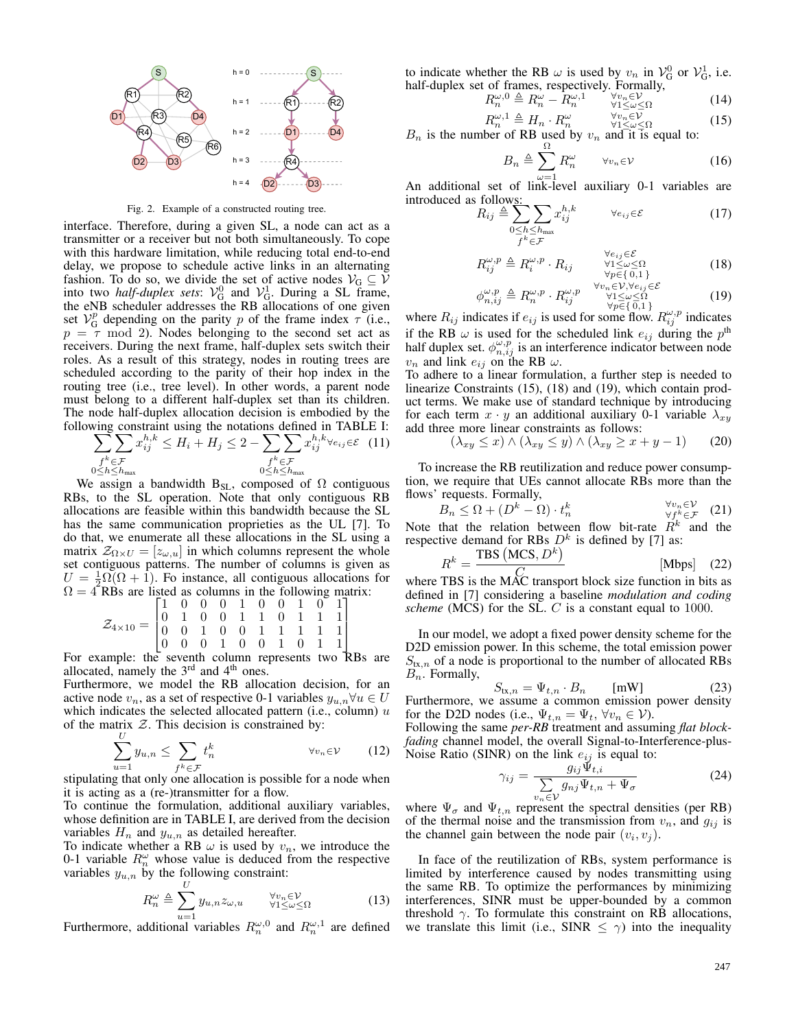

Fig. 2. Example of a constructed routing tree.

interface. Therefore, during a given SL, a node can act as a transmitter or a receiver but not both simultaneously. To cope with this hardware limitation, while reducing total end-to-end delay, we propose to schedule active links in an alternating fashion. To do so, we divide the set of active nodes  $V_G \subseteq V$ into two *half-duplex sets*:  $V_G^0$  and  $V_G^1$ . During a SL frame, the eNB scheduler addresses the RB allocations of one given set  $V_G^p$  depending on the parity p of the frame index  $\tau$  (i.e.,  $p = \tau$  mod 2). Nodes belonging to the second set act as receivers. During the next frame, half-duplex sets switch their roles. As a result of this strategy, nodes in routing trees are scheduled according to the parity of their hop index in the routing tree (i.e., tree level). In other words, a parent node must belong to a different half-duplex set than its children. The node half-duplex allocation decision is embodied by the following constraint using the notations defined in TABLE I:

$$
\sum_{\substack{f^k \in \mathcal{F} \\ 0 \le h \le h_{\text{max}}}} x_{ij}^{h,k} \le H_i + H_j \le 2 - \sum_{\substack{f^k \in \mathcal{F} \\ 0 \le h \le h_{\text{max}}}} x_{ij}^{h,k} \forall e_{ij} \in \mathcal{E} \quad (11)
$$

We assign a bandwidth  $B_{SL}$ , composed of  $\Omega$  contiguous RBs, to the SL operation. Note that only contiguous RB allocations are feasible within this bandwidth because the SL has the same communication proprieties as the UL [7]. To do that, we enumerate all these allocations in the SL using a matrix  $\mathcal{Z}_{\Omega \times U} = [z_{\omega,u}]$  in which columns represent the whole set contiguous patterns. The number of columns is given as  $U = \frac{1}{2}\Omega(\Omega + 1)$ . Fo instance, all contiguous allocations for  $\Omega = 4$  RBs are listed as columns in the following matrix:

$$
\mathcal{Z}_{4 \times 10} = \begin{bmatrix} 1 & 0 & 0 & 0 & 1 & 0 & 0 & 1 & 0 & 1 \\ 0 & 1 & 0 & 0 & 1 & 1 & 0 & 1 & 1 & 1 \\ 0 & 0 & 1 & 0 & 0 & 1 & 1 & 1 & 1 & 1 \\ 0 & 0 & 0 & 1 & 0 & 0 & 1 & 0 & 1 & 1 \end{bmatrix}
$$

For example: the seventh column represents two RBs are allocated, namely the  $3<sup>rd</sup>$  and  $4<sup>th</sup>$  ones.

Furthermore, we model the RB allocation decision, for an active node  $v_n$ , as a set of respective 0-1 variables  $y_{u,n} \forall u \in U$ which indicates the selected allocated pattern (i.e., column)  $u$ of the matrix  $Z$ . This decision is constrained by:

$$
\sum_{u=1}^{U} y_{u,n} \le \sum_{f^k \in \mathcal{F}} t_n^k \qquad \forall v_n \in V \qquad (12)
$$

stipulating that only one allocation is possible for a node when it is acting as a (re-)transmitter for a flow.

To continue the formulation, additional auxiliary variables, whose definition are in TABLE I, are derived from the decision variables  $H_n$  and  $y_{u,n}$  as detailed hereafter.

To indicate whether a RB  $\omega$  is used by  $v_n$ , we introduce the 0-1 variable  $R_n^{\omega}$  whose value is deduced from the respective variables  $y_{u,n}$  by the following constraint:

$$
R_n^{\omega} \triangleq \sum_{u=1}^U y_{u,n} z_{\omega,u} \qquad \forall v_n \in V \forall 1 \le \omega \le \Omega
$$
 (13)

Furthermore, additional variables  $R_n^{\omega,0}$  and  $R_n^{\omega,1}$  are defined

to indicate whether the RB  $\omega$  is used by  $v_n$  in  $\mathcal{V}_{\mathcal{G}}^0$  or  $\mathcal{V}_{\mathcal{G}}^1$ , i.e. half-duplex set of frames, respectively. Formally,

$$
R_n^{\omega,0} \triangleq R_n^{\omega} - R_n^{\omega,1} \qquad \forall v_n \in V
$$
  
\n
$$
R^{\omega,1} \triangleq H \qquad R^{\omega} \qquad \forall v_n \in V
$$
  
\n
$$
R^{\omega,1} \triangleq H \qquad R^{\omega} \qquad \forall v_n \in V
$$
\n(15)

$$
R_n^{\omega,1} \triangleq H_n \cdot R_n^{\omega} \qquad \forall v_n \in \mathcal{V}
$$
  
bar of BP used by  $v_n$  and it is equal to:

 $B_n$  is the number of RB used by  $v_n$  and it is equal to:

$$
B_n \triangleq \sum_{\omega=1} R_n^{\omega} \qquad \forall v_n \in \mathcal{V} \tag{16}
$$

An additional set of link-level auxiliary 0-1 variables are introduced as follows:

$$
R_{ij} \triangleq \sum_{\substack{0 \le h \le h_{\text{max}} \\ f^k \in \mathcal{F}}} x_{ij}^{h,k} \qquad \forall e_{ij} \in \mathcal{E} \tag{17}
$$

$$
R_{ij}^{\omega,p} \triangleq R_i^{\omega,p} \cdot R_{ij} \qquad \begin{array}{l}\forall e_{ij} \in \mathcal{E} \\ \forall 1 \leq \omega \leq \Omega \\ \forall p \in \{0,1\}\end{array} \tag{18}
$$

$$
\phi_{n,ij}^{\omega,p} \triangleq R_n^{\omega,p} \cdot R_{ij}^{\omega,p} \quad \begin{array}{c} \forall v_n \in V, \forall e_{ij} \in \mathcal{E} \\ \forall 1 \le \omega \le \Omega \\ \forall p \in \{0,1\} \end{array} \tag{19}
$$

where  $R_{ij}$  indicates if  $e_{ij}$  is used for some flow.  $R_{ij}^{\omega,p}$  indicates if the RB  $\omega$  is used for the scheduled link  $e_{ij}$  during the  $p^{\text{th}}$ half duplex set.  $\phi_{n,i,j}^{\omega,p}$  is an interference indicator between node  $v_n$  and link  $e_{ij}$  on the RB  $\omega$ .

To adhere to a linear formulation, a further step is needed to linearize Constraints (15), (18) and (19), which contain product terms. We make use of standard technique by introducing for each term  $x \cdot y$  an additional auxiliary 0-1 variable  $\lambda_{xy}$ add three more linear constraints as follows:

$$
(\lambda_{xy} \le x) \land (\lambda_{xy} \le y) \land (\lambda_{xy} \ge x + y - 1) \tag{20}
$$

To increase the RB reutilization and reduce power consumption, we require that UEs cannot allocate RBs more than the flows' requests. Formally,

$$
B_n \le \Omega + (D^k - \Omega) \cdot t_n^k \qquad \forall v_n \in V \qquad (21)
$$

Note that the relation between flow bit-rate  $R^k$  and the respective demand for RBs  $D<sup>k</sup>$  is defined by [7] as:

$$
R^{k} = \frac{\text{TBS}(\text{MCS}, D^{k})}{\text{LMS}(\text{Mobs})} \tag{22}
$$

where TBS is the MAC transport block size function in bits as defined in [7] considering a baseline *modulation and coding scheme* (MCS) for the SL. C is a constant equal to 1000.

In our model, we adopt a fixed power density scheme for the D2D emission power. In this scheme, the total emission power  $S_{\text{tx},n}$  of a node is proportional to the number of allocated RBs  $B_n$ . Formally,

$$
S_{\text{tx},n} = \Psi_{t,n} \cdot B_n \qquad \text{[mW]} \tag{23}
$$

Furthermore, we assume a common emission power density for the D2D nodes (i.e.,  $\Psi_{t,n} = \Psi_t$ ,  $\forall v_n \in \mathcal{V}$ ).

Following the same *per-RB* treatment and assuming *flat blockfading* channel model, the overall Signal-to-Interference-plus-Noise Ratio (SINR) on the link  $e_{ij}$  is equal to:

$$
\gamma_{ij} = \frac{g_{ij}\Psi_{t,i}}{\sum_{n_{-} \in \mathcal{V}} g_{nj}\Psi_{t,n} + \Psi_{\sigma}}
$$
(24)

where  $\Psi_{\sigma}$  and  $\Psi_{t,n}$  represent the spectral densities (per RB) of the thermal noise and the transmission from  $v_n$ , and  $g_{ij}$  is the channel gain between the node pair  $(v_i, v_j)$ .

In face of the reutilization of RBs, system performance is limited by interference caused by nodes transmitting using the same RB. To optimize the performances by minimizing interferences, SINR must be upper-bounded by a common threshold  $\gamma$ . To formulate this constraint on RB allocations, we translate this limit (i.e., SINR  $\leq \gamma$ ) into the inequality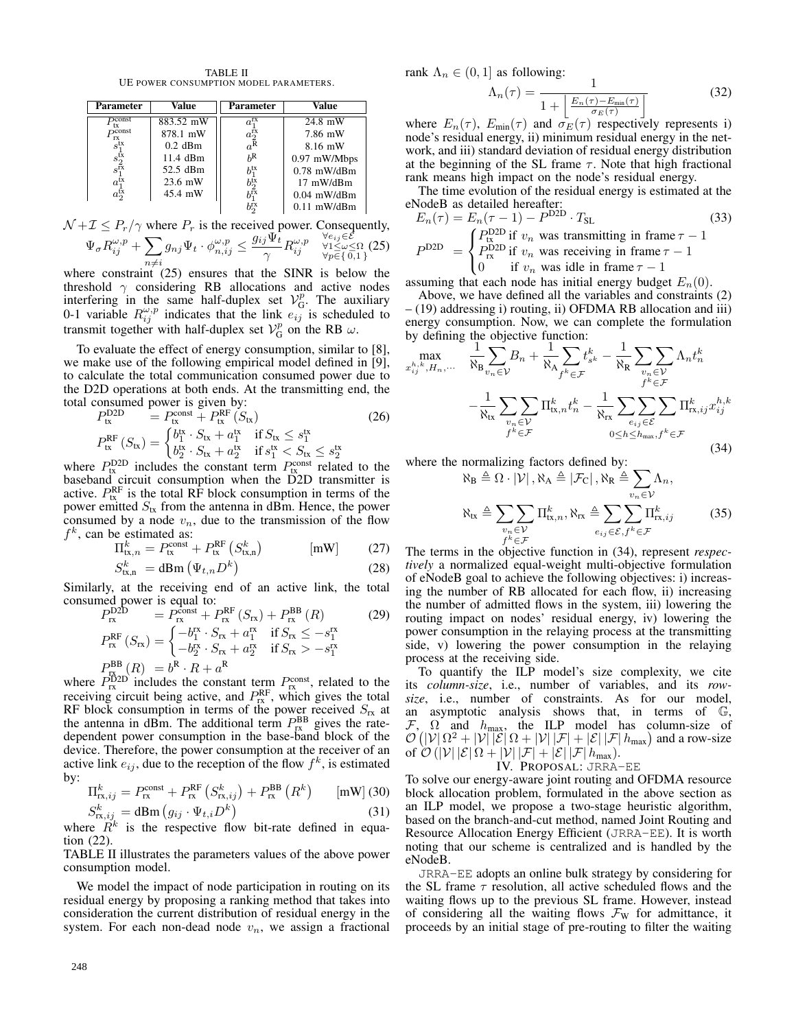TABLE II UE POWER CONSUMPTION MODEL PARAMETERS.

| <b>Parameter</b>                             | Value     | Parameter                                  | Value         |
|----------------------------------------------|-----------|--------------------------------------------|---------------|
| $D$ const<br>tx                              | 883.52 mW | $a_1^{\rm rx}$                             | 24.8 mW       |
| $D$ const<br>rx                              | 878.1 mW  | $a_{\tilde R}^{\tilde \Gamma \tilde \chi}$ | 7.86 mW       |
| $s_1^{\rm tx}$                               | $0.2$ dBm |                                            | 8.16 mW       |
| $s_{2\tilde{\text{rx}}}^{\tilde{\text{tx}}}$ | 11.4 dBm  | $h^R$                                      | 0.97 mW/Mbps  |
|                                              | 52.5 dBm  | $b_1^\mathrm{tx}$                          | $0.78$ mW/dBm |
| $a_1^{\bar{t}x}$                             | $23.6$ mW | $b_{2}^{\mathrm{tx}}$                      | 17 mW/dBm     |
| $a_2^{\text{tx}}$                            | 45.4 mW   |                                            | $0.04$ mW/dBm |
|                                              |           | $b^{\text{rx}}_2$                          | $0.11$ mW/dBm |

$$
\mathcal{N} + \mathcal{I} \le P_r/\gamma \text{ where } P_r \text{ is the received power. Consequently,}
$$

$$
\Psi_{\sigma} R_{ij}^{\omega, p} + \sum_{n \neq i} g_{nj} \Psi_t \cdot \phi_{n, ij}^{\omega, p} \leq \frac{g_{ij} \Psi_t}{\gamma} R_{ij}^{\omega, p} \quad \forall i \leq \omega \leq \Omega \atop \forall p \in \{0, 1\}} (25)
$$

where constraint (25) ensures that the SINR is below the threshold  $\gamma$  considering RB allocations and active nodes interfering in the same half-duplex set  $V_G^p$ . The auxiliary 0-1 variable  $R_{ij}^{\omega,p}$  indicates that the link  $e_{ij}$  is scheduled to transmit together with half-duplex set  $V_G^p$  on the RB  $\omega$ .

To evaluate the effect of energy consumption, similar to [8], we make use of the following empirical model defined in [9], to calculate the total communication consumed power due to the D2D operations at both ends. At the transmitting end, the total consumed power is given by:

$$
P_{\text{tx}}^{\text{D2D}} = P_{\text{tx}}^{\text{const}} + P_{\text{tx}}^{\text{RF}}(\mathcal{S}_{\text{tx}})
$$
(26)  

$$
P_{\text{tx}}^{\text{RF}}(\mathcal{S}_{\text{tx}}) = \begin{cases} b_1^{\text{tx}} \cdot \mathcal{S}_{\text{tx}} + a_1^{\text{tx}} & \text{if } \mathcal{S}_{\text{tx}} \le s_1^{\text{tx}} \\ b_2^{\text{tx}} \cdot \mathcal{S}_{\text{tx}} + a_2^{\text{tx}} & \text{if } s_1^{\text{tx}} < \mathcal{S}_{\text{tx}} \le s_2^{\text{tx}} \end{cases}
$$

 $P_{\text{tx}}^{D2D}$  includes the constant term  $P_{\text{tx}}^{\text{const}}$  related to the baseband circuit consumption when the D2D transmitter is active.  $P_{\text{tx}}^{\text{RF}}$  is the total RF block consumption in terms of the power emitted  $S_{tx}$  from the antenna in dBm. Hence, the power consumed by a node  $v_n$ , due to the transmission of the flow  $f<sup>k</sup>$ , can be estimated as:

$$
\Pi_{\text{tx},n}^{k} = P_{\text{tx}}^{\text{const}} + P_{\text{tx}}^{\text{RF}} \left( S_{\text{tx},n}^{k} \right) \quad [\text{mW}] \quad (27)
$$

$$
S_{\text{tx,n}}^k = \text{dBm}\left(\Psi_{t,n} D^k\right) \tag{28}
$$

Similarly, at the receiving end of an active link, the total consumed power is equal to:

$$
P_{rx}^{\text{D2D}} = P_{rx}^{\text{const}} + P_{rx}^{\text{RF}}(S_{rx}) + P_{rx}^{\text{BB}}(R)
$$
(29)  

$$
P_{rx}^{\text{RF}}(S_{rx}) = \begin{cases} -b_1^{rx} \cdot S_{rx} + a_1^{rx} & \text{if } S_{rx} \le -s_1^{rx} \\ -b_2^{rx} \cdot S_{rx} + a_2^{rx} & \text{if } S_{rx} > -s_1^{rx} \end{cases}
$$
  

$$
P_{rx}^{\text{BB}}(R) = b^R \cdot R + a^R
$$

where  $\overrightarrow{P}_{rx}^{D2D}$  includes the constant term  $P_{rx}^{\text{const}}$ , related to the receiving circuit being active, and  $P_{\text{rx}}^{\text{RF}}$ , which gives the total RF block consumption in terms of the power received  $S_{rx}$  at the antenna in dBm. The additional term  $P_{\text{rx}}^{\text{BB}}$  gives the ratedependent power consumption in the base-band block of the device. Therefore, the power consumption at the receiver of an active link  $e_{ij}$ , due to the reception of the flow  $f^k$ , is estimated by:

$$
\Pi_{\text{rx},ij}^{k} = P_{\text{rx}}^{\text{const}} + P_{\text{rx}}^{\text{RF}} \left( S_{\text{rx},ij}^{k} \right) + P_{\text{rx}}^{\text{BB}} \left( R^{k} \right) \qquad \text{[mW]} \text{ (30)}
$$
\n
$$
S_{\text{rx},ij}^{k} = \text{dBm} \left( g_{ij} \cdot \Psi_{t,i} D^{k} \right) \tag{31}
$$

where 
$$
R^k
$$
 is the respective flow bit-rate defined in equation (22).

TABLE II illustrates the parameters values of the above power consumption model.

We model the impact of node participation in routing on its residual energy by proposing a ranking method that takes into consideration the current distribution of residual energy in the system. For each non-dead node  $v_n$ , we assign a fractional rank  $\Lambda_n \in (0,1]$  as following:

$$
\Lambda_n(\tau) = \frac{1}{1 + \left| \frac{E_n(\tau) - E_{\min}(\tau)}{\sigma_E(\tau)} \right|} \tag{32}
$$

where  $E_n(\tau)$ ,  $E_{\text{min}}(\tau)$  and  $\sigma_E(\tau)$  respectively represents i) node's residual energy, ii) minimum residual energy in the network, and iii) standard deviation of residual energy distribution at the beginning of the SL frame  $\tau$ . Note that high fractional rank means high impact on the node's residual energy.

The time evolution of the residual energy is estimated at the eNodeB as detailed hereafter:

$$
E_n(\tau) = E_n(\tau - 1) - P^{\text{D2D}} \cdot T_{\text{SL}} \tag{33}
$$
  
\n
$$
P^{\text{D2D}} = \begin{cases} P^{\text{D2D}}_{\text{L}} \text{ if } v_n \text{ was transmitting in frame } \tau - 1\\ P^{\text{D2D}}_{\text{rx}} \text{ if } v_n \text{ was receiving in frame } \tau - 1\\ 0 \text{ if } v_n \text{ was idle in frame } \tau - 1 \end{cases}
$$

assuming that each node has initial energy budget  $E_n(0)$ .

Above, we have defined all the variables and constraints (2) – (19) addressing i) routing, ii) OFDMA RB allocation and iii) energy consumption. Now, we can complete the formulation by defining the objective function:

$$
\begin{aligned}\n\max_{x_{ij}^{h,k},H_n,\dots} \quad & \frac{1}{\aleph_{\mathbf{B}}} \sum_{v_n \in \mathcal{V}} B_n + \frac{1}{\aleph_{\mathbf{A}}} \sum_{f^k \in \mathcal{F}} t_{s^k}^k - \frac{1}{\aleph_{\mathbf{R}}} \sum_{\substack{v_n \in \mathcal{V} \\ f^k \in \mathcal{F}}} \Lambda_n t_n^k \\
& - \frac{1}{\aleph_{\mathbf{tx}}} \sum_{\substack{v_n \in \mathcal{V} \\ f^k \in \mathcal{F}}} \Pi_{\mathbf{tx},n}^k t_n^k - \frac{1}{\aleph_{\mathbf{rx}}} \sum_{\substack{e_{ij} \in \mathcal{E} \\ e_{ij} \in \mathcal{E}}} \sum_{\substack{\mathbf{m},\\ \mathbf{m} \in \mathcal{N}}} \Pi_{\mathbf{rx},ij}^k x_{ij}^{h,k}\n\end{aligned}
$$
\n
$$
(34)
$$

where the normalizing factors defined by:

$$
\aleph_{\mathbf{B}} \triangleq \Omega \cdot |\mathcal{V}|, \aleph_{\mathbf{A}} \triangleq |\mathcal{F}_{\mathbf{C}}|, \aleph_{\mathbf{R}} \triangleq \sum_{v_n \in \mathcal{V}} \Lambda_n,
$$
  

$$
\aleph_{\mathbf{tx}} \triangleq \sum_{\substack{v_n \in \mathcal{V} \\ f^k \in \mathcal{F}}} \Pi_{\mathbf{tx}, n}^k, \aleph_{\mathbf{rx}} \triangleq \sum_{e_{ij} \in \mathcal{E}, f^k \in \mathcal{F}} \Pi_{\mathbf{rx}, ij}^k \tag{35}
$$

The terms in the objective function in (34), represent *respectively* a normalized equal-weight multi-objective formulation of eNodeB goal to achieve the following objectives: i) increasing the number of RB allocated for each flow, ii) increasing the number of admitted flows in the system, iii) lowering the routing impact on nodes' residual energy, iv) lowering the power consumption in the relaying process at the transmitting side, v) lowering the power consumption in the relaying process at the receiving side.

To quantify the ILP model's size complexity, we cite its *column-size*, i.e., number of variables, and its *rowsize*, i.e., number of constraints. As for our model, an asymptotic analysis shows that, in terms of G,  $\mathcal{F}, \Omega$  and  $h_{\text{max}}$ , the ILP model has column-size of  $\mathcal{O}(|\mathcal{V}| \Omega^2 + |\mathcal{V}| |\mathcal{E}| \Omega + |\mathcal{V}| |\mathcal{F}| + |\mathcal{E}| |\mathcal{F}| h_{\text{max}})$  and a row-size of  $\mathcal{O}(|\mathcal{V}| |\mathcal{E}| \Omega + |\mathcal{V}| |\mathcal{F}| + |\mathcal{E}| |\mathcal{F}| h_{\text{max}}).$ 

IV. PROPOSAL: JRRA-EE

To solve our energy-aware joint routing and OFDMA resource block allocation problem, formulated in the above section as an ILP model, we propose a two-stage heuristic algorithm, based on the branch-and-cut method, named Joint Routing and Resource Allocation Energy Efficient (JRRA-EE). It is worth noting that our scheme is centralized and is handled by the eNodeB.

JRRA-EE adopts an online bulk strategy by considering for the SL frame  $\tau$  resolution, all active scheduled flows and the waiting flows up to the previous SL frame. However, instead of considering all the waiting flows  $\mathcal{F}_W$  for admittance, it proceeds by an initial stage of pre-routing to filter the waiting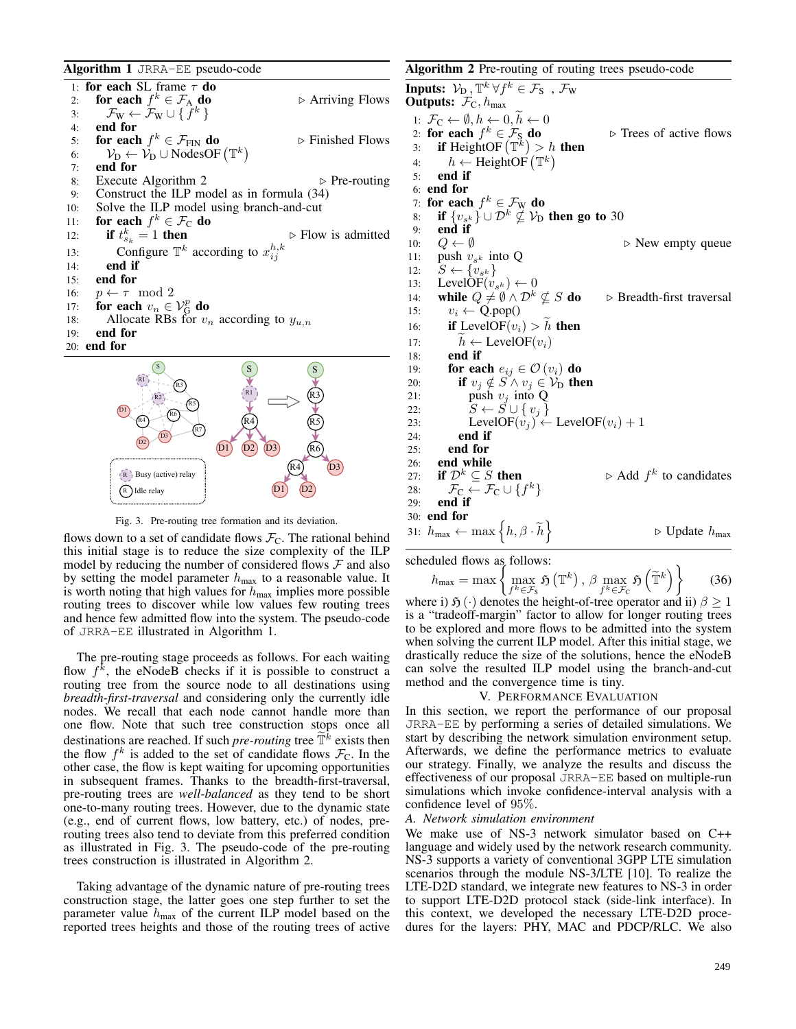Algorithm 1 JRRA-EE pseudo-code

1: for each SL frame  $\tau$  do 2: for each  $f$ ⊳ Arriving Flows 3:  $\mathcal{F}_{W} \leftarrow \mathcal{F}_{W} \cup \{f^{k}\}\$ 4: end for 5: **for each**  $f^k \in \mathcal{F}_{\text{FIN}}$  **do**  $\qquad \qquad \triangleright$  Finished Flows 6:  $V_D \leftarrow V_D \cup \text{NodesOF } (\mathbb{T}^k)$ 7: end for 8: Execute Algorithm 2  $\triangleright$  Pre-routing 9: Construct the ILP model as in formula (34) 10: Solve the ILP model using branch-and-cut 11: for each  $f^k \in \mathcal{F}_C$  do 12: if  $t_s^k$  $\triangleright$  Flow is admitted 13: Configure  $\mathbb{T}^k$  according to  $x_{ij}^{h,k}$ 14: end if 15: end for 16:  $p \leftarrow \tau \mod 2$ 17: for each  $v_n \in \mathcal{V}_{\mathcal{G}}^p$  do 18: Allocate RBs for  $v_n$  according to  $y_{u,n}$ <br>19: **end for** end for 20: end for S R1 S R3 S



Fig. 3. Pre-routing tree formation and its deviation.

flows down to a set of candidate flows  $\mathcal{F}_C$ . The rational behind this initial stage is to reduce the size complexity of the ILP model by reducing the number of considered flows  $\mathcal F$  and also by setting the model parameter  $h_{\text{max}}$  to a reasonable value. It is worth noting that high values for  $h_{\text{max}}$  implies more possible routing trees to discover while low values few routing trees and hence few admitted flow into the system. The pseudo-code of JRRA-EE illustrated in Algorithm 1.

The pre-routing stage proceeds as follows. For each waiting flow  $f^k$ , the eNodeB checks if it is possible to construct a routing tree from the source node to all destinations using *breadth-first-traversal* and considering only the currently idle nodes. We recall that each node cannot handle more than one flow. Note that such tree construction stops once all destinations are reached. If such *pre-routing* tree  $\tilde{T}^{\tilde{k}}$  exists then<br>the flow  $f^{\tilde{k}}$  is added to the set of condidate flows  $\mathcal{T}$ . In the the flow  $f^k$  is added to the set of candidate flows  $\mathcal{F}_C$ . In the other case, the flow is kept waiting for upcoming opportunities in subsequent frames. Thanks to the breadth-first-traversal, pre-routing trees are *well-balanced* as they tend to be short one-to-many routing trees. However, due to the dynamic state (e.g., end of current flows, low battery, etc.) of nodes, prerouting trees also tend to deviate from this preferred condition as illustrated in Fig. 3. The pseudo-code of the pre-routing trees construction is illustrated in Algorithm 2.

Taking advantage of the dynamic nature of pre-routing trees construction stage, the latter goes one step further to set the parameter value  $h_{\text{max}}$  of the current ILP model based on the reported trees heights and those of the routing trees of active

# Algorithm 2 Pre-routing of routing trees pseudo-code **Inputs:**  $\mathcal{V}_D$ ,  $\mathbb{T}^k \forall f^k \in \mathcal{F}_S$ ,  $\mathcal{F}_W$ Outputs:  $\mathcal{F}_C$ ,  $h_{\text{max}}$ 1:  $\mathcal{F}_C \leftarrow \emptyset, h \leftarrow 0, \widetilde{h} \leftarrow 0$ 2: for each  $f^k \in \mathcal{F}_S$  do  $\triangleright$  Trees of active flows 3: if HeightOF  $(\mathbb{T}^k) > h$  then 4:  $h \leftarrow \text{HeightOf}(\mathbb{T}^k)$ 5: end if 6: end for 7: for each  $f^k \in \mathcal{F}_{W}$  do 8: if  $\{v_{s^k}\}\cup \mathcal{D}^k \nsubseteq \mathcal{V}_D$  then go to 30 9: end if 10:  $Q \leftarrow \emptyset$   $\triangleright$  New empty queue 11: push  $v_{s^k}$  into Q 12:  $S \leftarrow \{v_{s^k}\}\$ 13: LevelOF $(v_{s^k}) \leftarrow 0$ 13: LevelOF( $v_{s^k}$ )  $\leftarrow 0$ <br>14: **while**  $Q \neq \emptyset \wedge \mathcal{D}^k \nsubseteq S$  **do**  $\qquad \triangleright$  Breadth-first traversal 15:  $v_i \leftarrow Q.pop()$ 16: **if** LevelOF $(v_i) > h$  then<br>17:  $\widetilde{h} \leftarrow \text{LevelOF}(v_i)$ 17:  $h \leftarrow \text{LevelOF}(v_i)$ <br>18: **end if** end if 19: **for each**  $e_{ij} \in \mathcal{O}(v_i)$  **do** 20: **if**  $v_j \notin S \land v_j \in V_D$  then<br>21: **bush**  $v_j$  into O 21: push  $v_j$  into Q<br>22:  $S \leftarrow S \cup \{v_i\}$ 22:  $\tilde{S} \leftarrow \tilde{S} \cup \{v_j\}$ <br>
23: LevelOF $(v_i) \leftarrow$ 23: LevelOF $(v_j) \leftarrow$  LevelOF $(v_i) + 1$ <br>24: **end if** 24: end if<br>25: end for end for 26: end while 27: if  $\mathcal{D}^k \subseteq S$  then  $k$  to candidates 28:  $\mathcal{F}_\mathrm{C} \leftarrow \mathcal{F}_\mathrm{C} \cup \{f^k\}$ 29: end if 30: end for 31:  $h_{\text{max}} \leftarrow \max \left\{ h, \beta \cdot \widetilde{h} \right\}$  $\triangleright$  Update  $h_{\text{max}}$

scheduled flows as follows:  
\n
$$
h_{\text{max}} = \max \left\{ \max_{f^k \in \mathcal{F}_S} \mathfrak{H}(\mathbb{T}^k), \beta \max_{f^k \in \mathcal{F}_C} \mathfrak{H}(\widetilde{\mathbb{T}}^k) \right\} \tag{36}
$$

where i)  $\mathfrak{H}(\cdot)$  denotes the height-of-tree operator and ii)  $\beta \geq 1$ is a "tradeoff-margin" factor to allow for longer routing trees to be explored and more flows to be admitted into the system when solving the current ILP model. After this initial stage, we drastically reduce the size of the solutions, hence the eNodeB can solve the resulted ILP model using the branch-and-cut method and the convergence time is tiny.

#### V. PERFORMANCE EVALUATION

In this section, we report the performance of our proposal JRRA-EE by performing a series of detailed simulations. We start by describing the network simulation environment setup. Afterwards, we define the performance metrics to evaluate our strategy. Finally, we analyze the results and discuss the effectiveness of our proposal JRRA-EE based on multiple-run simulations which invoke confidence-interval analysis with a confidence level of 95%.

#### *A. Network simulation environment*

We make use of NS-3 network simulator based on C++ language and widely used by the network research community. NS-3 supports a variety of conventional 3GPP LTE simulation scenarios through the module NS-3/LTE [10]. To realize the LTE-D2D standard, we integrate new features to NS-3 in order to support LTE-D2D protocol stack (side-link interface). In this context, we developed the necessary LTE-D2D procedures for the layers: PHY, MAC and PDCP/RLC. We also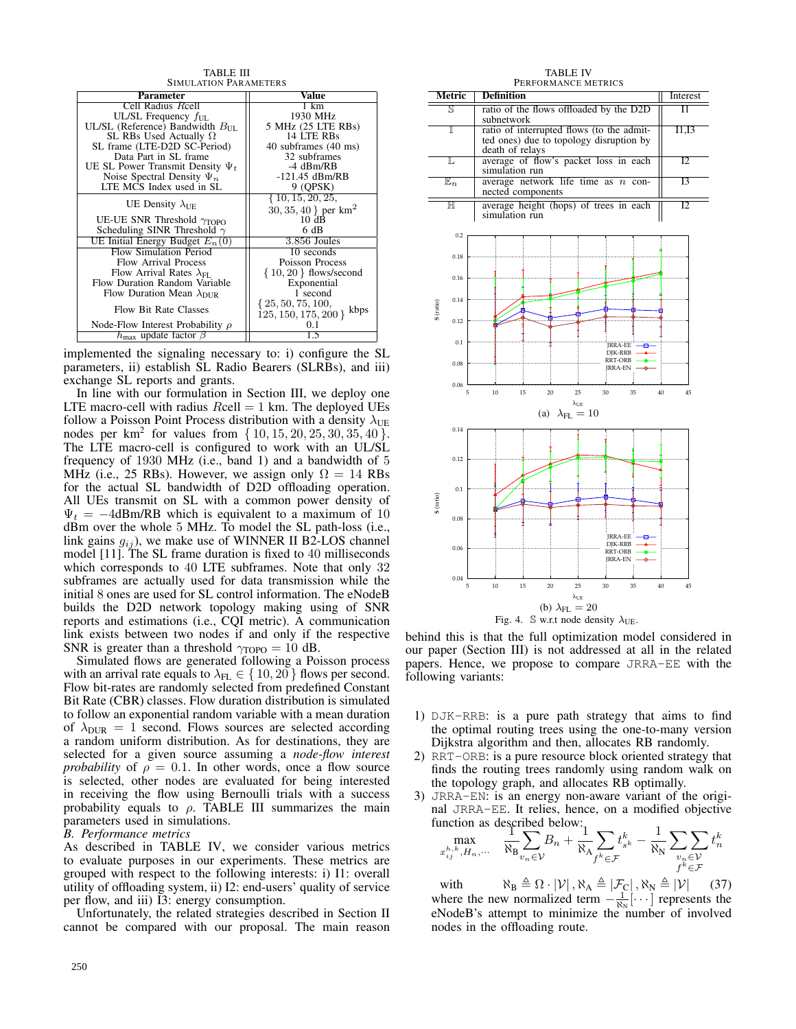| TABLE III                                      |                                    |  |  |  |
|------------------------------------------------|------------------------------------|--|--|--|
| <b>SIMULATION PARAMETERS</b>                   |                                    |  |  |  |
| Parameter                                      | Value                              |  |  |  |
| Cell Radius Reell                              | 1 km                               |  |  |  |
| UL/SL Frequency $f_{\text{UL}}$                | 1930 MHz                           |  |  |  |
| UL/SL (Reference) Bandwidth $B_{\text{III}}$ . | 5 MHz (25 LTE RBs)                 |  |  |  |
| SL RBs Used Actually $\Omega$                  | 14 LTE RBs                         |  |  |  |
| SL frame (LTE-D2D SC-Period)                   | 40 subframes (40 ms)               |  |  |  |
| Data Part in SL frame                          | 32 subframes                       |  |  |  |
| UE SL Power Transmit Density $\Psi_t$          | -4 dBm/RB                          |  |  |  |
| Noise Spectral Density $\Psi_n$                | $-121.45$ dBm/RB                   |  |  |  |
| LTE MCS Index used in SL                       | 9 (OPSK)                           |  |  |  |
|                                                | $\{10, 15, 20, 25,$                |  |  |  |
| UE Density $\lambda_{\text{IE}}$               | $30, 35, 40$ } per km <sup>2</sup> |  |  |  |
| UE-UE SNR Threshold $\gamma_{\text{TOPO}}$     | 10dB                               |  |  |  |
| Scheduling SINR Threshold $\gamma$             | 6 dB                               |  |  |  |
| UE Initial Energy Budget $E_n(0)$              | 3.856 Joules                       |  |  |  |
| Flow Simulation Period                         | 10 seconds                         |  |  |  |
| Flow Arrival Process                           | Poisson Process                    |  |  |  |
| Flow Arrival Rates $\lambda_{FI}$ .            | $\{10, 20\}$ flows/second          |  |  |  |
| Flow Duration Random Variable                  | Exponential                        |  |  |  |
| Flow Duration Mean $\lambda_{\text{DIR}}$      | 1 second                           |  |  |  |
| Flow Bit Rate Classes                          | $\{25, 50, 75, 100,$<br>kbps       |  |  |  |
|                                                | 125, 150, 175, 200                 |  |  |  |
| Node-Flow Interest Probability $\rho$          | በ 1                                |  |  |  |
| $h_{\text{max}}$ update factor $\beta$         | 1.5                                |  |  |  |

implemented the signaling necessary to: i) configure the SL parameters, ii) establish SL Radio Bearers (SLRBs), and iii) exchange SL reports and grants.

In line with our formulation in Section III, we deploy one LTE macro-cell with radius  $Reell = 1$  km. The deployed UEs follow a Poisson Point Process distribution with a density  $\lambda_{UE}$ nodes per  $km^2$  for values from  $\{10, 15, 20, 25, 30, 35, 40\}$ . The LTE macro-cell is configured to work with an UL/SL frequency of 1930 MHz (i.e., band 1) and a bandwidth of 5 MHz (i.e., 25 RBs). However, we assign only  $\Omega = 14$  RBs for the actual SL bandwidth of D2D offloading operation. All UEs transmit on SL with a common power density of  $\Psi_t = -4$ dBm/RB which is equivalent to a maximum of 10 dBm over the whole 5 MHz. To model the SL path-loss (i.e., link gains  $g_{ij}$ ), we make use of WINNER II B2-LOS channel model [11]. The SL frame duration is fixed to 40 milliseconds which corresponds to 40 LTE subframes. Note that only 32 subframes are actually used for data transmission while the initial 8 ones are used for SL control information. The eNodeB builds the D2D network topology making using of SNR reports and estimations (i.e., CQI metric). A communication link exists between two nodes if and only if the respective SNR is greater than a threshold  $\gamma_{\text{TOPO}} = 10$  dB.

Simulated flows are generated following a Poisson process with an arrival rate equals to  $\lambda_{FL} \in \{10, 20\}$  flows per second. Flow bit-rates are randomly selected from predefined Constant Bit Rate (CBR) classes. Flow duration distribution is simulated to follow an exponential random variable with a mean duration of  $\lambda_{\text{DUR}} = 1$  second. Flows sources are selected according a random uniform distribution. As for destinations, they are selected for a given source assuming a *node-flow interest probability* of  $\rho = 0.1$ . In other words, once a flow source is selected, other nodes are evaluated for being interested in receiving the flow using Bernoulli trials with a success probability equals to  $\rho$ . TABLE III summarizes the main parameters used in simulations.

*B. Performance metrics*

As described in TABLE IV, we consider various metrics to evaluate purposes in our experiments. These metrics are grouped with respect to the following interests: i) I1: overall utility of offloading system, ii) I2: end-users' quality of service per flow, and iii) I3: energy consumption.

Unfortunately, the related strategies described in Section II cannot be compared with our proposal. The main reason

TABLE IV

|             |                                                                     | PERFORMANCE METRICS                                                                                     |          |  |  |  |  |
|-------------|---------------------------------------------------------------------|---------------------------------------------------------------------------------------------------------|----------|--|--|--|--|
|             | Metric                                                              | Definition                                                                                              | Interest |  |  |  |  |
|             | S                                                                   | ratio of the flows offloaded by the D2D<br>subnetwork                                                   | 11       |  |  |  |  |
|             | I                                                                   | ratio of interrupted flows (to the admit-<br>ted ones) due to topology disruption by<br>death of relays | I1,I3    |  |  |  |  |
|             | L                                                                   | average of flow's packet loss in each<br>simulation run                                                 | 12       |  |  |  |  |
|             | $\mathbb{E}_n$                                                      | average network life time as $n$<br>con-<br>nected components                                           | Ι3       |  |  |  |  |
|             | $_{\mathbb{H}}$                                                     | average height (hops) of trees in each<br>simulation run                                                | 12       |  |  |  |  |
|             | 0.2                                                                 |                                                                                                         |          |  |  |  |  |
|             | 0.18                                                                |                                                                                                         |          |  |  |  |  |
|             | 0.16                                                                |                                                                                                         |          |  |  |  |  |
| S (ratio)   | 0.14                                                                |                                                                                                         |          |  |  |  |  |
|             | 0.12                                                                |                                                                                                         |          |  |  |  |  |
|             | 0.1                                                                 | <b>JRRA-EE</b><br>DJK-RRB                                                                               |          |  |  |  |  |
|             | 0.08                                                                | <b>RRT-ORB</b><br><b>JRRA-EN</b>                                                                        |          |  |  |  |  |
|             | 0.06<br>5                                                           | 10<br>15<br>25<br>30<br>35<br>20                                                                        | 40<br>45 |  |  |  |  |
|             |                                                                     | $\lambda_{UE}$<br>(a)<br>$\lambda_{\text{FL}}=10$                                                       |          |  |  |  |  |
|             | 0.14                                                                |                                                                                                         |          |  |  |  |  |
| $S$ (ratio) | 0.12                                                                |                                                                                                         |          |  |  |  |  |
|             |                                                                     |                                                                                                         |          |  |  |  |  |
|             | 0.1                                                                 |                                                                                                         |          |  |  |  |  |
|             | 0.08                                                                |                                                                                                         |          |  |  |  |  |
|             | 0.06                                                                | <b>JRRA-EE</b><br>8<br><b>DJK-RRB</b><br><b>RRT-ORB</b><br><b>JRRA-EN</b>                               |          |  |  |  |  |
|             | 0.04<br>5                                                           | 25<br>30<br>10<br>15<br>20<br>35                                                                        | 40<br>45 |  |  |  |  |
|             |                                                                     | $\lambda_{\text{UE}}$                                                                                   |          |  |  |  |  |
|             | (b) $\lambda_{FL} = 20$                                             |                                                                                                         |          |  |  |  |  |
|             | $\mathbb S$ w.r.t node density $\lambda_{\text{UE}}$ .<br>Fig. $4.$ |                                                                                                         |          |  |  |  |  |

behind this is that the full optimization model considered in our paper (Section III) is not addressed at all in the related papers. Hence, we propose to compare JRRA-EE with the following variants:

- 1) DJK-RRB: is a pure path strategy that aims to find the optimal routing trees using the one-to-many version Dijkstra algorithm and then, allocates RB randomly.
- 2) RRT-ORB: is a pure resource block oriented strategy that finds the routing trees randomly using random walk on the topology graph, and allocates RB optimally.
- 3) JRRA-EN: is an energy non-aware variant of the original JRRA-EE. It relies, hence, on a modified objective function as described below:<br> $\frac{1}{1}$

$$
\max_{\substack{m,k\\x_{ij}^{h,k},H_n,\dots}}\frac{1}{N_B}\sum_{v_n\in\mathcal{V}}B_n+\frac{1}{N_A}\sum_{f^k\in\mathcal{F}}t_{s^k}^k-\frac{1}{N_N}\sum_{\substack{v_n\in\mathcal{V}\\f^k\in\mathcal{F}}}t_n^k
$$

with  $\aleph_B \triangleq \Omega \cdot |\mathcal{V}|$ ,  $\aleph_A \triangleq |\mathcal{F}_C|$ ,  $\aleph_N \triangleq |\mathcal{V}|$  (37) where the new normalized term  $-\frac{1}{N_N}$ [ $\cdots$ ] represents the eNodeB's attempt to minimize the number of involved nodes in the offloading route.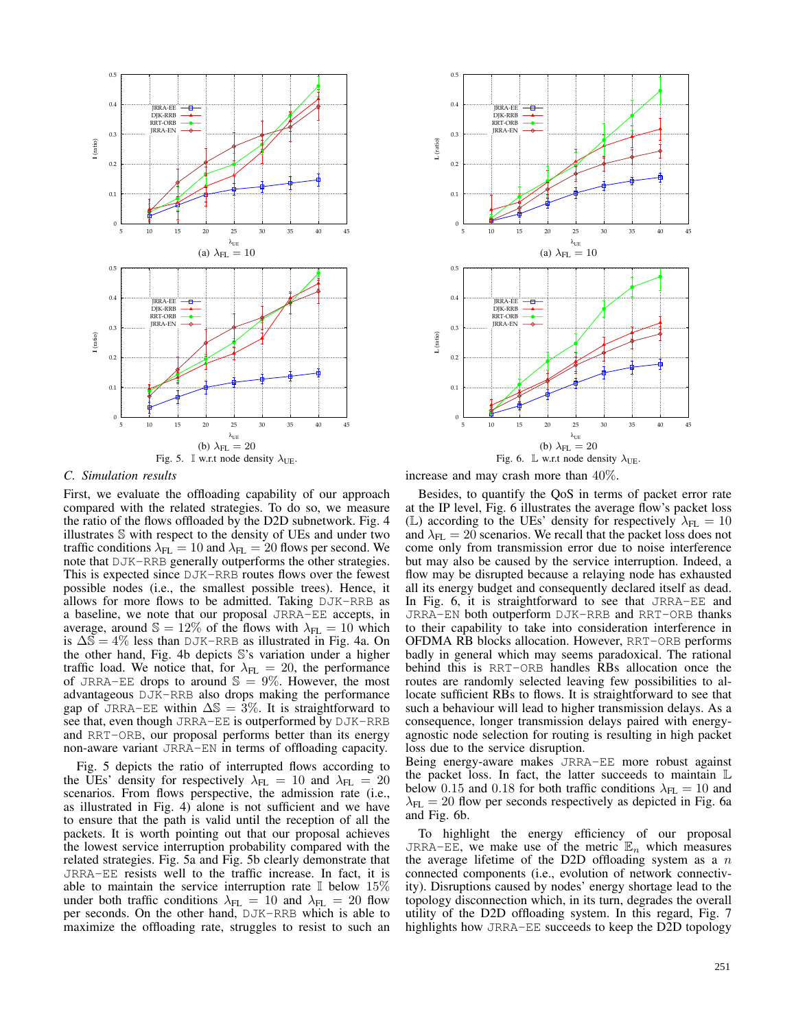



*C. Simulation results*

First, we evaluate the offloading capability of our approach compared with the related strategies. To do so, we measure the ratio of the flows offloaded by the D2D subnetwork. Fig. 4 illustrates S with respect to the density of UEs and under two traffic conditions  $\lambda_{FL} = 10$  and  $\lambda_{FL} = 20$  flows per second. We note that DJK-RRB generally outperforms the other strategies. This is expected since DJK-RRB routes flows over the fewest possible nodes (i.e., the smallest possible trees). Hence, it allows for more flows to be admitted. Taking DJK-RRB as a baseline, we note that our proposal JRRA-EE accepts, in average, around  $\mathbb{S} = 12\%$  of the flows with  $\lambda_{FL} = 10$  which is  $\Delta \overline{\mathbb{S}} = 4\%$  less than DJK-RRB as illustrated in Fig. 4a. On the other hand, Fig. 4b depicts S's variation under a higher traffic load. We notice that, for  $\lambda_{FL} = 20$ , the performance of JRRA-EE drops to around  $\mathbb{S} = 9\%$ . However, the most advantageous DJK-RRB also drops making the performance gap of JRRA-EE within  $\Delta S = 3\%$ . It is straightforward to see that, even though JRRA-EE is outperformed by DJK-RRB and RRT-ORB, our proposal performs better than its energy non-aware variant JRRA-EN in terms of offloading capacity.

Fig. 5 depicts the ratio of interrupted flows according to the UEs' density for respectively  $\lambda_{FL} = 10$  and  $\lambda_{FL} = 20$ scenarios. From flows perspective, the admission rate (i.e., as illustrated in Fig. 4) alone is not sufficient and we have to ensure that the path is valid until the reception of all the packets. It is worth pointing out that our proposal achieves the lowest service interruption probability compared with the related strategies. Fig. 5a and Fig. 5b clearly demonstrate that JRRA-EE resists well to the traffic increase. In fact, it is able to maintain the service interruption rate  $\mathbb{I}$  below 15% under both traffic conditions  $\lambda_{FL} = 10$  and  $\lambda_{FL} = 20$  flow per seconds. On the other hand, DJK-RRB which is able to maximize the offloading rate, struggles to resist to such an increase and may crash more than 40%.

Besides, to quantify the QoS in terms of packet error rate at the IP level, Fig. 6 illustrates the average flow's packet loss (L) according to the UEs' density for respectively  $\lambda_{FL} = 10$ and  $\lambda_{FL} = 20$  scenarios. We recall that the packet loss does not come only from transmission error due to noise interference but may also be caused by the service interruption. Indeed, a flow may be disrupted because a relaying node has exhausted all its energy budget and consequently declared itself as dead. In Fig. 6, it is straightforward to see that JRRA-EE and JRRA-EN both outperform DJK-RRB and RRT-ORB thanks to their capability to take into consideration interference in OFDMA RB blocks allocation. However, RRT-ORB performs badly in general which may seems paradoxical. The rational behind this is RRT-ORB handles RBs allocation once the routes are randomly selected leaving few possibilities to allocate sufficient RBs to flows. It is straightforward to see that such a behaviour will lead to higher transmission delays. As a consequence, longer transmission delays paired with energyagnostic node selection for routing is resulting in high packet loss due to the service disruption.

Being energy-aware makes JRRA-EE more robust against the packet loss. In fact, the latter succeeds to maintain  $\mathbb L$ below 0.15 and 0.18 for both traffic conditions  $\lambda_{FL} = 10$  and  $\lambda_{FL} = 20$  flow per seconds respectively as depicted in Fig. 6a and Fig. 6b.

To highlight the energy efficiency of our proposal JRRA-EE, we make use of the metric  $\mathbb{E}_n$  which measures the average lifetime of the D2D offloading system as a  $n$ connected components (i.e., evolution of network connectivity). Disruptions caused by nodes' energy shortage lead to the topology disconnection which, in its turn, degrades the overall utility of the D2D offloading system. In this regard, Fig. 7 highlights how JRRA-EE succeeds to keep the D2D topology